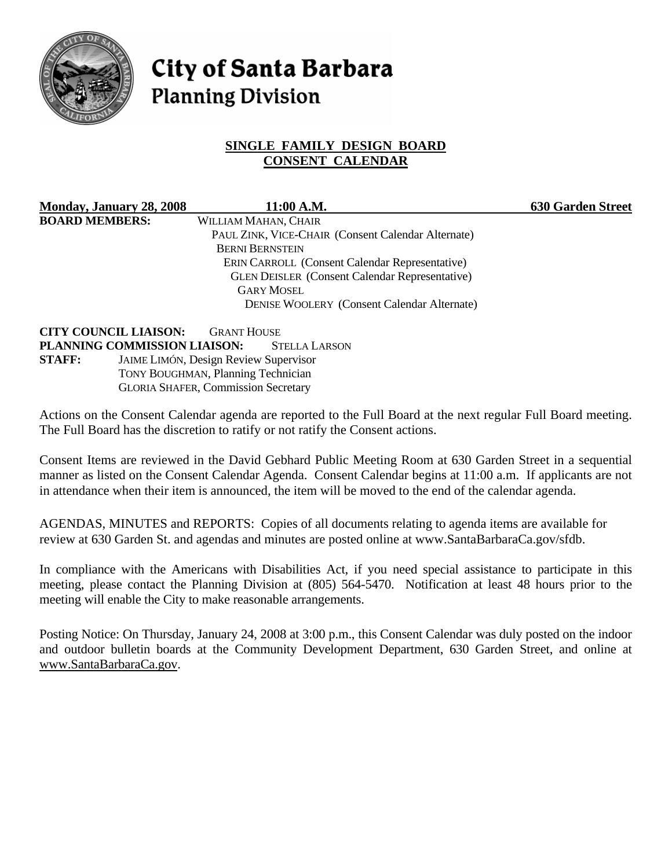

# City of Santa Barbara **Planning Division**

# **SINGLE FAMILY DESIGN BOARD CONSENT CALENDAR**

**Monday, January 28, 2008 11:00 A.M. 630 Garden Street BOARD MEMBERS:** WILLIAM MAHAN, CHAIR PAUL ZINK, VICE-CHAIR (Consent Calendar Alternate) BERNI BERNSTEIN ERIN CARROLL (Consent Calendar Representative) GLEN DEISLER (Consent Calendar Representative) GARY MOSEL DENISE WOOLERY (Consent Calendar Alternate)

**CITY COUNCIL LIAISON:** GRANT HOUSE **PLANNING COMMISSION LIAISON:** STELLA LARSON **STAFF:** JAIME LIMÓN, Design Review Supervisor TONY BOUGHMAN, Planning Technician GLORIA SHAFER, Commission Secretary

Actions on the Consent Calendar agenda are reported to the Full Board at the next regular Full Board meeting. The Full Board has the discretion to ratify or not ratify the Consent actions.

Consent Items are reviewed in the David Gebhard Public Meeting Room at 630 Garden Street in a sequential manner as listed on the Consent Calendar Agenda. Consent Calendar begins at 11:00 a.m. If applicants are not in attendance when their item is announced, the item will be moved to the end of the calendar agenda.

AGENDAS, MINUTES and REPORTS: Copies of all documents relating to agenda items are available for review at 630 Garden St. and agendas and minutes are posted online at www.SantaBarbaraCa.gov/sfdb.

In compliance with the Americans with Disabilities Act, if you need special assistance to participate in this meeting, please contact the Planning Division at (805) 564-5470. Notification at least 48 hours prior to the meeting will enable the City to make reasonable arrangements.

Posting Notice: On Thursday, January 24, 2008 at 3:00 p.m., this Consent Calendar was duly posted on the indoor and outdoor bulletin boards at the Community Development Department, 630 Garden Street, and online at www.SantaBarbaraCa.gov.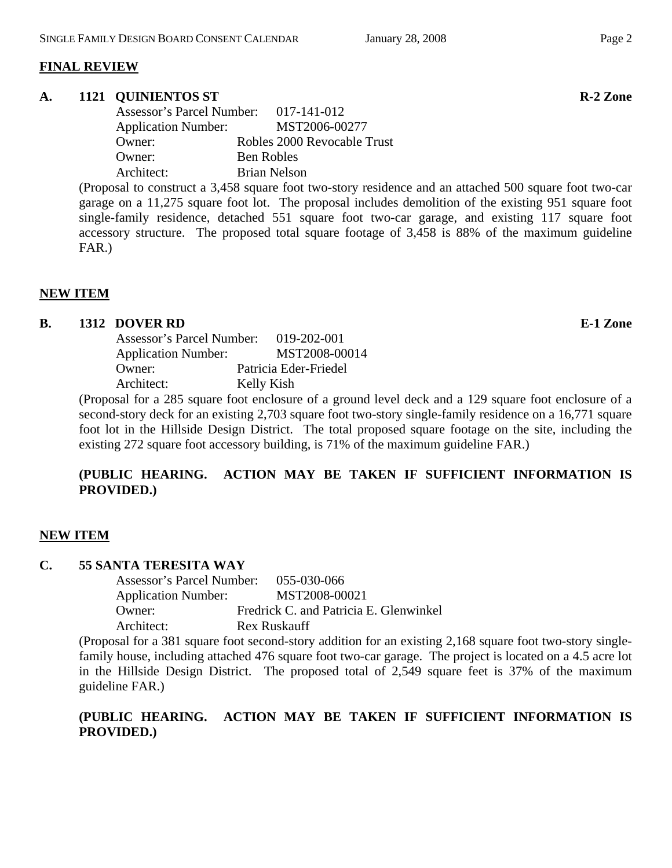# **FINAL REVIEW**

## **A. 1121 QUINIENTOS ST R-2 Zone**

 Assessor's Parcel Number: 017-141-012 Application Number: MST2006-00277 Owner: Robles 2000 Revocable Trust Owner: Ben Robles Architect: Brian Nelson

(Proposal to construct a 3,458 square foot two-story residence and an attached 500 square foot two-car garage on a 11,275 square foot lot. The proposal includes demolition of the existing 951 square foot single-family residence, detached 551 square foot two-car garage, and existing 117 square foot accessory structure. The proposed total square footage of 3,458 is 88% of the maximum guideline FAR.)

# **NEW ITEM**

## **B. 1312 DOVER RD E-1 Zone**

 Assessor's Parcel Number: 019-202-001 Application Number: MST2008-00014 Owner: Patricia Eder-Friedel Architect: Kelly Kish

(Proposal for a 285 square foot enclosure of a ground level deck and a 129 square foot enclosure of a second-story deck for an existing 2,703 square foot two-story single-family residence on a 16,771 square foot lot in the Hillside Design District. The total proposed square footage on the site, including the existing 272 square foot accessory building, is 71% of the maximum guideline FAR.)

# **(PUBLIC HEARING. ACTION MAY BE TAKEN IF SUFFICIENT INFORMATION IS PROVIDED.)**

# **NEW ITEM**

#### **C. 55 SANTA TERESITA WAY**

 Assessor's Parcel Number: 055-030-066 Application Number: MST2008-00021 Owner: Fredrick C. and Patricia E. Glenwinkel Architect: Rex Ruskauff

(Proposal for a 381 square foot second-story addition for an existing 2,168 square foot two-story singlefamily house, including attached 476 square foot two-car garage. The project is located on a 4.5 acre lot in the Hillside Design District. The proposed total of 2,549 square feet is 37% of the maximum guideline FAR.)

# **(PUBLIC HEARING. ACTION MAY BE TAKEN IF SUFFICIENT INFORMATION IS PROVIDED.)**